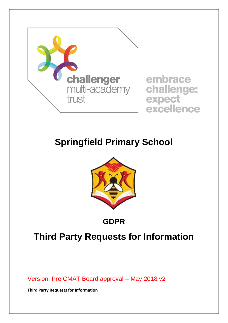

embrace challenge: expect excellence

# **Springfield Primary School**



## **GDPR**

# **Third Party Requests for Information**

Version: Pre CMAT Board approval – May 2018 v2

**Third Party Requests for Information**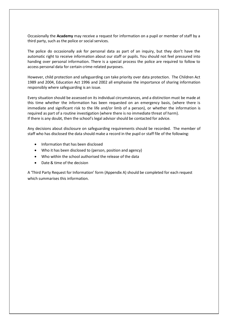Occasionally the **Academy** may receive a request for information on a pupil or member of staff by a third party, such as the police or social services.

The police do occasionally ask for personal data as part of an inquiry, but they don't have the automatic right to receive information about our staff or pupils. You should not feel pressured into handing over personal information. There is a special process the police are required to follow to access personal data for certain crime-related purposes.

However, child protection and safeguarding can take priority over data protection. The Children Act 1989 and 2004, Education Act 1996 and 2002 all emphasise the importance of sharing information responsibly where safeguarding is an issue.

Every situation should be assessed on its individual circumstances, and a distinction must be made at this time whether the information has been requested on an emergency basis, (where there is immediate and significant risk to the life and/or limb of a person), or whether the information is required as part of a routine investigation (where there is no immediate threat of harm). If there is any doubt, then the school's legal advisor should be contacted for advice.

Any decisions about disclosure on safeguarding requirements should be recorded. The member of staff who has disclosed the data should make a record in the pupil or staff file of the following:

- Information that has been disclosed
- Who it has been disclosed to (person, position and agency)
- Who within the school authorised the release of the data
- Date & time of the decision

A 'Third Party Request for Information' form (Appendix A) should be completed for each request which summarises this information.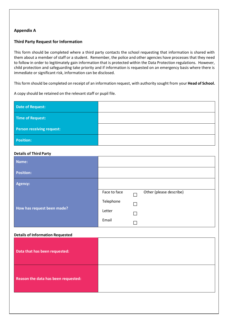### **Appendix A**

### **Third Party Request for Information**

This form should be completed where a third party contacts the school requesting that information is shared with them about a member of staff or a student. Remember, the police and other agencies have processes that they need to follow in order to legitimately gain information that is protected within the Data Protection regulations. However, child protection and safeguarding take priority and if information is requested on an emergency basis where there is immediate or significant risk, information can be disclosed.

This form should be completed on receipt of an information request, with authority sought from your **Head of School.**

A copy should be retained on the relevant staff or pupil file.

| Date of Request:          |  |
|---------------------------|--|
| Time of Request:          |  |
| Person receiving request: |  |
| <b>Position:</b>          |  |

#### **Details of Third Party**

| Name:                      |              |   |                         |
|----------------------------|--------------|---|-------------------------|
| <b>Position:</b>           |              |   |                         |
| <b>Agency:</b>             |              |   |                         |
| How has request been made? | Face to face |   | Other (please describe) |
|                            | Telephone    | П |                         |
|                            | Letter       | П |                         |
|                            | Email        |   |                         |

#### **Details of Information Requested**

| Data that has been requested:       |  |
|-------------------------------------|--|
| Reason the data has been requested: |  |